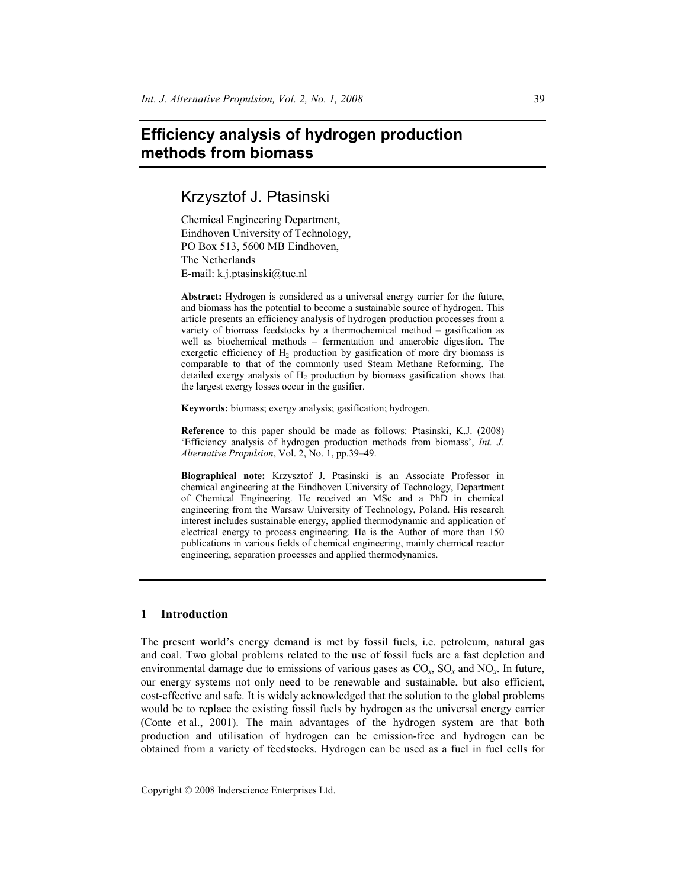# **Efficiency analysis of hydrogen production methods from biomass**

Krzysztof J. Ptasinski

Chemical Engineering Department, Eindhoven University of Technology, PO Box 513, 5600 MB Eindhoven, The Netherlands E-mail: k.j.ptasinski@tue.nl

**Abstract:** Hydrogen is considered as a universal energy carrier for the future, and biomass has the potential to become a sustainable source of hydrogen. This article presents an efficiency analysis of hydrogen production processes from a variety of biomass feedstocks by a thermochemical method – gasification as well as biochemical methods – fermentation and anaerobic digestion. The exergetic efficiency of  $H_2$  production by gasification of more dry biomass is comparable to that of the commonly used Steam Methane Reforming. The detailed exergy analysis of  $H_2$  production by biomass gasification shows that the largest exergy losses occur in the gasifier.

**Keywords:** biomass; exergy analysis; gasification; hydrogen.

**Reference** to this paper should be made as follows: Ptasinski, K.J. (2008) 'Efficiency analysis of hydrogen production methods from biomass', *Int. J. Alternative Propulsion*, Vol. 2, No. 1, pp.39–49.

**Biographical note:** Krzysztof J. Ptasinski is an Associate Professor in chemical engineering at the Eindhoven University of Technology, Department of Chemical Engineering. He received an MSc and a PhD in chemical engineering from the Warsaw University of Technology, Poland. His research interest includes sustainable energy, applied thermodynamic and application of electrical energy to process engineering. He is the Author of more than 150 publications in various fields of chemical engineering, mainly chemical reactor engineering, separation processes and applied thermodynamics.

## **1 Introduction**

The present world's energy demand is met by fossil fuels, i.e. petroleum, natural gas and coal. Two global problems related to the use of fossil fuels are a fast depletion and environmental damage due to emissions of various gases as CO*x*, SO*x* and NO*x*. In future, our energy systems not only need to be renewable and sustainable, but also efficient, cost-effective and safe. It is widely acknowledged that the solution to the global problems would be to replace the existing fossil fuels by hydrogen as the universal energy carrier (Conte et al., 2001). The main advantages of the hydrogen system are that both production and utilisation of hydrogen can be emission-free and hydrogen can be obtained from a variety of feedstocks. Hydrogen can be used as a fuel in fuel cells for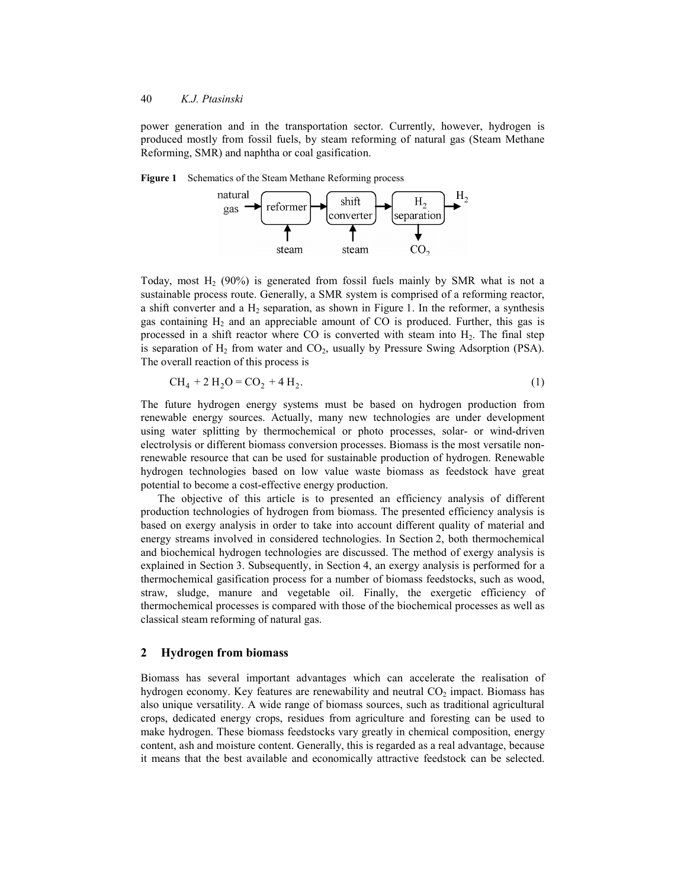power generation and in the transportation sector. Currently, however, hydrogen is produced mostly from fossil fuels, by steam reforming of natural gas (Steam Methane Reforming, SMR) and naphtha or coal gasification.





Today, most  $H_2$  (90%) is generated from fossil fuels mainly by SMR what is not a sustainable process route. Generally, a SMR system is comprised of a reforming reactor, a shift converter and a  $H_2$  separation, as shown in Figure 1. In the reformer, a synthesis gas containing  $H_2$  and an appreciable amount of CO is produced. Further, this gas is processed in a shift reactor where CO is converted with steam into  $H_2$ . The final step is separation of  $H_2$  from water and  $CO_2$ , usually by Pressure Swing Adsorption (PSA). The overall reaction of this process is

$$
CH_4 + 2 H_2O = CO_2 + 4 H_2.
$$
 (1)

The future hydrogen energy systems must be based on hydrogen production from renewable energy sources. Actually, many new technologies are under development using water splitting by thermochemical or photo processes, solar- or wind-driven electrolysis or different biomass conversion processes. Biomass is the most versatile nonrenewable resource that can be used for sustainable production of hydrogen. Renewable hydrogen technologies based on low value waste biomass as feedstock have great potential to become a cost-effective energy production.

The objective of this article is to presented an efficiency analysis of different production technologies of hydrogen from biomass. The presented efficiency analysis is based on exergy analysis in order to take into account different quality of material and energy streams involved in considered technologies. In Section 2, both thermochemical and biochemical hydrogen technologies are discussed. The method of exergy analysis is explained in Section 3. Subsequently, in Section 4, an exergy analysis is performed for a thermochemical gasification process for a number of biomass feedstocks, such as wood, straw, sludge, manure and vegetable oil. Finally, the exergetic efficiency of thermochemical processes is compared with those of the biochemical processes as well as classical steam reforming of natural gas.

### **2 Hydrogen from biomass**

Biomass has several important advantages which can accelerate the realisation of hydrogen economy. Key features are renewability and neutral  $CO<sub>2</sub>$  impact. Biomass has also unique versatility. A wide range of biomass sources, such as traditional agricultural crops, dedicated energy crops, residues from agriculture and foresting can be used to make hydrogen. These biomass feedstocks vary greatly in chemical composition, energy content, ash and moisture content. Generally, this is regarded as a real advantage, because it means that the best available and economically attractive feedstock can be selected.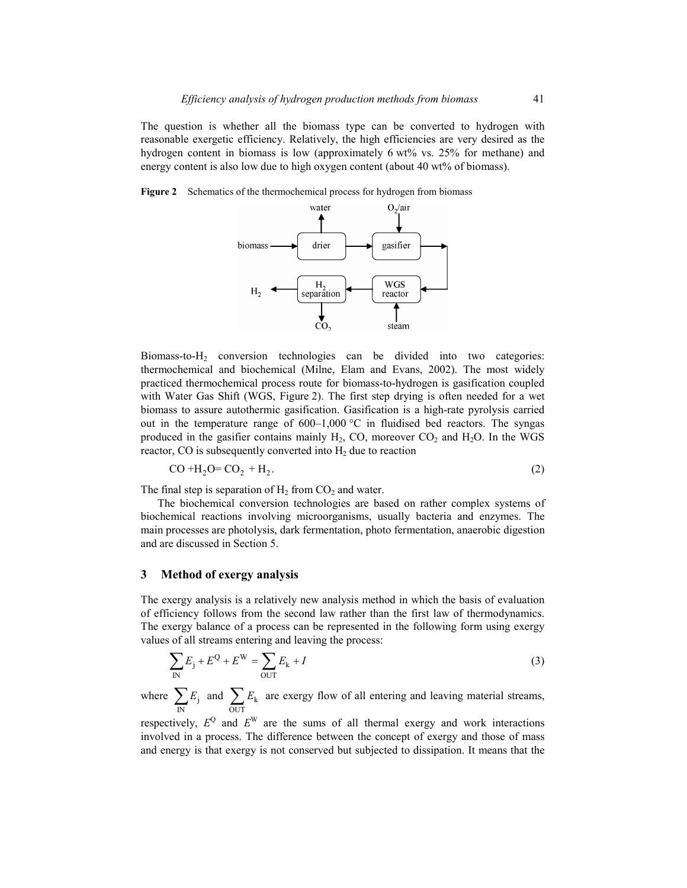The question is whether all the biomass type can be converted to hydrogen with reasonable exergetic efficiency. Relatively, the high efficiencies are very desired as the hydrogen content in biomass is low (approximately 6 wt% vs. 25% for methane) and energy content is also low due to high oxygen content (about 40 wt% of biomass).

**Figure 2** Schematics of the thermochemical process for hydrogen from biomass



Biomass-to-H2 conversion technologies can be divided into two categories: thermochemical and biochemical (Milne, Elam and Evans, 2002). The most widely practiced thermochemical process route for biomass-to-hydrogen is gasification coupled with Water Gas Shift (WGS, Figure 2). The first step drying is often needed for a wet biomass to assure autothermic gasification. Gasification is a high-rate pyrolysis carried out in the temperature range of  $600-1,000$  °C in fluidised bed reactors. The syngas produced in the gasifier contains mainly  $H_2$ , CO, moreover  $CO_2$  and  $H_2O$ . In the WGS reactor, CO is subsequently converted into  $H_2$  due to reaction

$$
CO + H2O = CO2 + H2.
$$
 (2)

The final step is separation of  $H_2$  from  $CO_2$  and water.

The biochemical conversion technologies are based on rather complex systems of biochemical reactions involving microorganisms, usually bacteria and enzymes. The main processes are photolysis, dark fermentation, photo fermentation, anaerobic digestion and are discussed in Section 5.

#### **3 Method of exergy analysis**

The exergy analysis is a relatively new analysis method in which the basis of evaluation of efficiency follows from the second law rather than the first law of thermodynamics. The exergy balance of a process can be represented in the following form using exergy values of all streams entering and leaving the process:

$$
\sum_{\text{IN}} E_{\text{j}} + E^{\text{Q}} + E^{\text{W}} = \sum_{\text{OUT}} E_{\text{k}} + I \tag{3}
$$

where  $\sum E_j$  $\sum_{N} E_j$  and  $\sum_{OUT} E_k$  are exergy flow of all entering and leaving material streams,

respectively,  $E^Q$  and  $E^W$  are the sums of all thermal exergy and work interactions involved in a process. The difference between the concept of exergy and those of mass and energy is that exergy is not conserved but subjected to dissipation. It means that the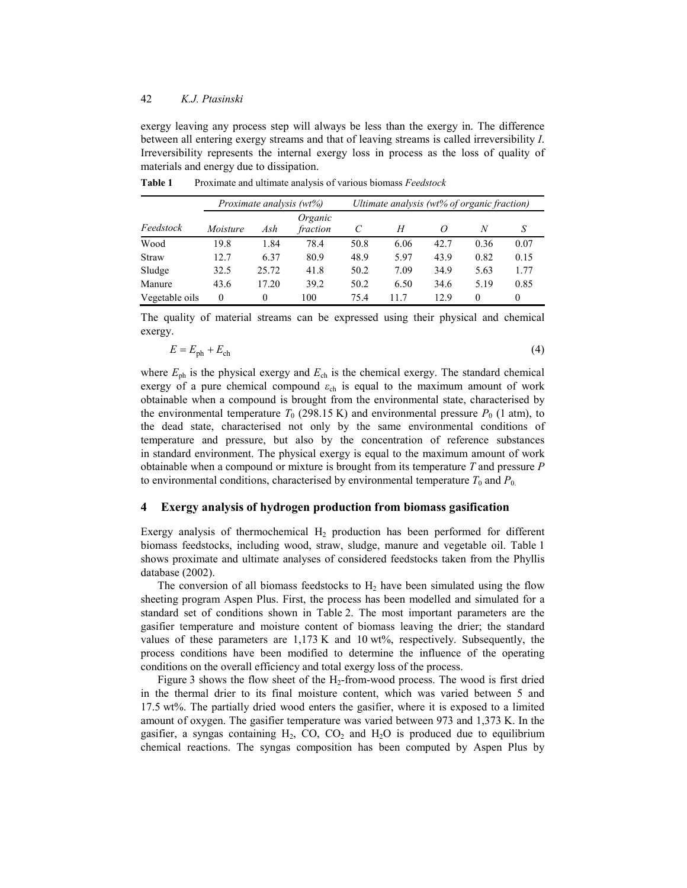exergy leaving any process step will always be less than the exergy in. The difference between all entering exergy streams and that of leaving streams is called irreversibility *I*. Irreversibility represents the internal exergy loss in process as the loss of quality of materials and energy due to dissipation.

|                |          | Proximate analysis (wt%) |                     |      | Ultimate analysis (wt% of organic fraction) |          |          |          |
|----------------|----------|--------------------------|---------------------|------|---------------------------------------------|----------|----------|----------|
| Feedstock      | Moisture | Ash                      | Organic<br>fraction | C    | H                                           | $\Omega$ | N        |          |
| Wood           | 19.8     | 1.84                     | 78.4                | 50.8 | 6.06                                        | 42.7     | 0.36     | 0.07     |
| Straw          | 12.7     | 6.37                     | 80.9                | 48.9 | 5.97                                        | 43.9     | 0.82     | 0.15     |
| Sludge         | 32.5     | 25.72                    | 41.8                | 50.2 | 7.09                                        | 34.9     | 5.63     | 1.77     |
| Manure         | 43.6     | 17.20                    | 39.2                | 50.2 | 6.50                                        | 34.6     | 5.19     | 0.85     |
| Vegetable oils | $\theta$ | 0                        | 100                 | 75.4 | 117                                         | 12.9     | $\Omega$ | $\theta$ |

**Table 1** Proximate and ultimate analysis of various biomass *Feedstock*

The quality of material streams can be expressed using their physical and chemical exergy.

$$
E = E_{\rm ph} + E_{\rm ch} \tag{4}
$$

where  $E_{\text{ph}}$  is the physical exergy and  $E_{\text{ch}}$  is the chemical exergy. The standard chemical exergy of a pure chemical compound  $\varepsilon_{ch}$  is equal to the maximum amount of work obtainable when a compound is brought from the environmental state, characterised by the environmental temperature  $T_0$  (298.15 K) and environmental pressure  $P_0$  (1 atm), to the dead state, characterised not only by the same environmental conditions of temperature and pressure, but also by the concentration of reference substances in standard environment. The physical exergy is equal to the maximum amount of work obtainable when a compound or mixture is brought from its temperature *T* and pressure *P* to environmental conditions, characterised by environmental temperature  $T_0$  and  $P_0$ .

#### **4 Exergy analysis of hydrogen production from biomass gasification**

Exergy analysis of thermochemical  $H_2$  production has been performed for different biomass feedstocks, including wood, straw, sludge, manure and vegetable oil. Table 1 shows proximate and ultimate analyses of considered feedstocks taken from the Phyllis database (2002).

The conversion of all biomass feedstocks to  $H_2$  have been simulated using the flow sheeting program Aspen Plus. First, the process has been modelled and simulated for a standard set of conditions shown in Table 2. The most important parameters are the gasifier temperature and moisture content of biomass leaving the drier; the standard values of these parameters are 1,173 K and 10 wt%, respectively. Subsequently, the process conditions have been modified to determine the influence of the operating conditions on the overall efficiency and total exergy loss of the process.

Figure 3 shows the flow sheet of the  $H_2$ -from-wood process. The wood is first dried in the thermal drier to its final moisture content, which was varied between 5 and 17.5 wt%. The partially dried wood enters the gasifier, where it is exposed to a limited amount of oxygen. The gasifier temperature was varied between 973 and 1,373 K. In the gasifier, a syngas containing  $H_2$ , CO, CO<sub>2</sub> and  $H_2O$  is produced due to equilibrium chemical reactions. The syngas composition has been computed by Aspen Plus by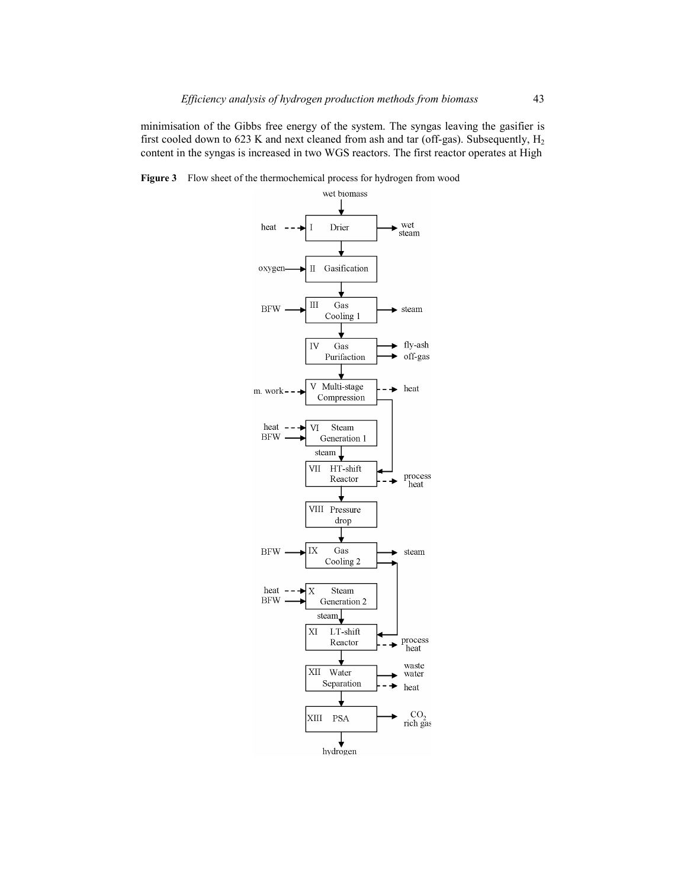minimisation of the Gibbs free energy of the system. The syngas leaving the gasifier is first cooled down to 623 K and next cleaned from ash and tar (off-gas). Subsequently,  $H_2$ content in the syngas is increased in two WGS reactors. The first reactor operates at High

Figure 3 Flow sheet of the thermochemical process for hydrogen from wood

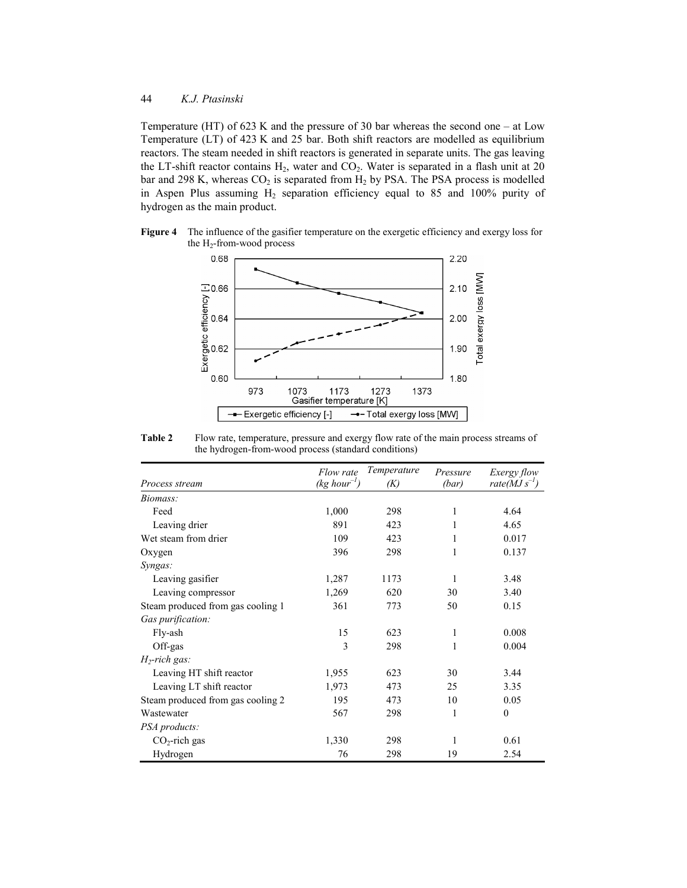Temperature (HT) of 623 K and the pressure of 30 bar whereas the second one – at Low Temperature (LT) of 423 K and 25 bar. Both shift reactors are modelled as equilibrium reactors. The steam needed in shift reactors is generated in separate units. The gas leaving the LT-shift reactor contains  $H_2$ , water and  $CO_2$ . Water is separated in a flash unit at 20 bar and 298 K, whereas  $CO_2$  is separated from  $H_2$  by PSA. The PSA process is modelled in Aspen Plus assuming  $H_2$  separation efficiency equal to 85 and 100% purity of hydrogen as the main product.

**Figure 4** The influence of the gasifier temperature on the exergetic efficiency and exergy loss for the  $H_2$ -from-wood process



**Table 2** Flow rate, temperature, pressure and exergy flow rate of the main process streams of the hydrogen-from-wood process (standard conditions)

|                                   | Flow rate        | Temperature | Pressure | <i>Exergy flow</i>  |
|-----------------------------------|------------------|-------------|----------|---------------------|
| Process stream                    | $(kg hour^{-1})$ | (K)         | (bar)    | rate( $MJ s^{-1}$ ) |
| Biomass:                          |                  |             |          |                     |
| Feed                              | 1,000            | 298         | 1        | 4.64                |
| Leaving drier                     | 891              | 423         | 1        | 4.65                |
| Wet steam from drier              | 109              | 423         | 1        | 0.017               |
| Oxygen                            | 396              | 298         | 1        | 0.137               |
| Syngas:                           |                  |             |          |                     |
| Leaving gasifier                  | 1,287            | 1173        | 1        | 3.48                |
| Leaving compressor                | 1,269            | 620         | 30       | 3.40                |
| Steam produced from gas cooling 1 | 361              | 773         | 50       | 0.15                |
| Gas purification:                 |                  |             |          |                     |
| Fly-ash                           | 15               | 623         | 1        | 0.008               |
| Off-gas                           | 3                | 298         | 1        | 0.004               |
| $H_2$ -rich gas:                  |                  |             |          |                     |
| Leaving HT shift reactor          | 1,955            | 623         | 30       | 3.44                |
| Leaving LT shift reactor          | 1,973            | 473         | 25       | 3.35                |
| Steam produced from gas cooling 2 | 195              | 473         | 10       | 0.05                |
| Wastewater                        | 567              | 298         | 1        | $\mathbf{0}$        |
| <i>PSA products:</i>              |                  |             |          |                     |
| $CO2$ -rich gas                   | 1,330            | 298         | 1        | 0.61                |
| Hydrogen                          | 76               | 298         | 19       | 2.54                |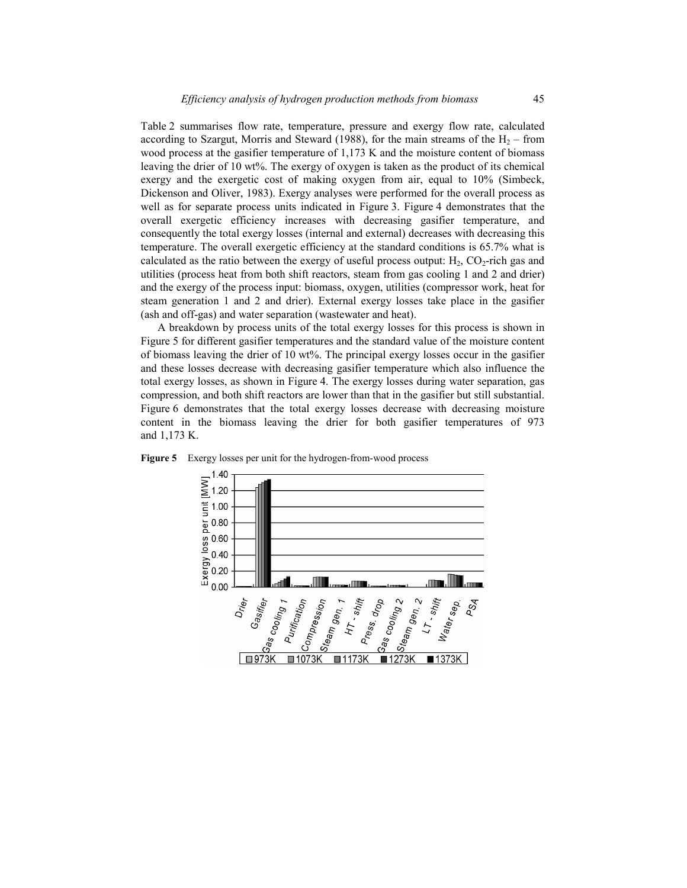Table 2 summarises flow rate, temperature, pressure and exergy flow rate, calculated according to Szargut, Morris and Steward (1988), for the main streams of the  $H_2$  – from wood process at the gasifier temperature of 1,173 K and the moisture content of biomass leaving the drier of 10 wt%. The exergy of oxygen is taken as the product of its chemical exergy and the exergetic cost of making oxygen from air, equal to 10% (Simbeck, Dickenson and Oliver, 1983). Exergy analyses were performed for the overall process as well as for separate process units indicated in Figure 3. Figure 4 demonstrates that the overall exergetic efficiency increases with decreasing gasifier temperature, and consequently the total exergy losses (internal and external) decreases with decreasing this temperature. The overall exergetic efficiency at the standard conditions is 65.7% what is calculated as the ratio between the exergy of useful process output:  $H_2$ ,  $CO_2$ -rich gas and utilities (process heat from both shift reactors, steam from gas cooling 1 and 2 and drier) and the exergy of the process input: biomass, oxygen, utilities (compressor work, heat for steam generation 1 and 2 and drier). External exergy losses take place in the gasifier (ash and off-gas) and water separation (wastewater and heat).

A breakdown by process units of the total exergy losses for this process is shown in Figure 5 for different gasifier temperatures and the standard value of the moisture content of biomass leaving the drier of 10 wt%. The principal exergy losses occur in the gasifier and these losses decrease with decreasing gasifier temperature which also influence the total exergy losses, as shown in Figure 4. The exergy losses during water separation, gas compression, and both shift reactors are lower than that in the gasifier but still substantial. Figure 6 demonstrates that the total exergy losses decrease with decreasing moisture content in the biomass leaving the drier for both gasifier temperatures of 973 and 1,173 K.



**Figure 5** Exergy losses per unit for the hydrogen-from-wood process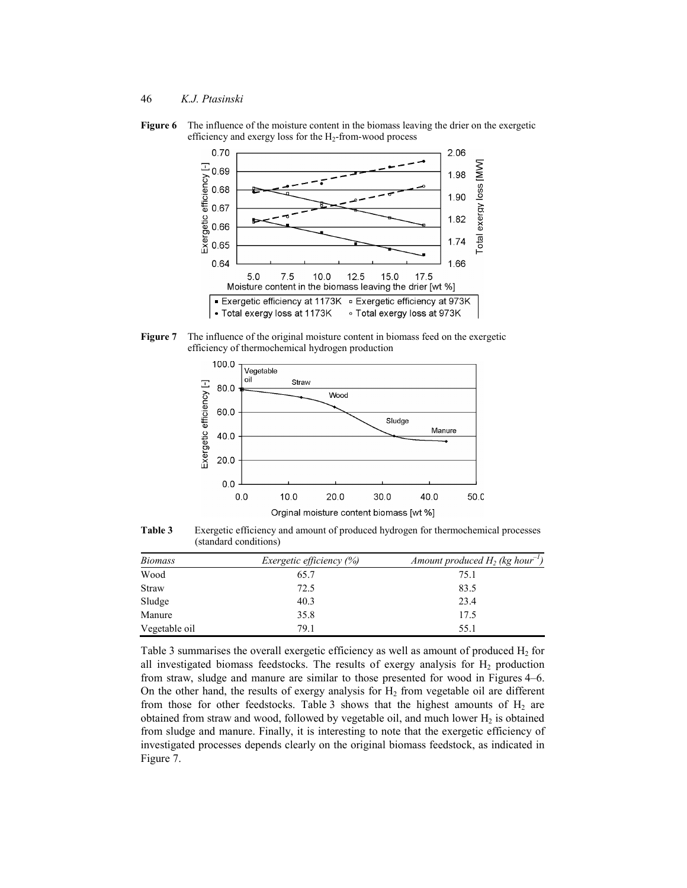**Figure 6** The influence of the moisture content in the biomass leaving the drier on the exergetic efficiency and exergy loss for the  $H_2$ -from-wood process



**Figure 7** The influence of the original moisture content in biomass feed on the exergetic efficiency of thermochemical hydrogen production



**Table 3** Exergetic efficiency and amount of produced hydrogen for thermochemical processes (standard conditions)

| <i>Biomass</i> | <i>Exergetic efficiency</i> $(\%)$ | Amount produced $H_2$ (kg hour <sup>-1</sup> ) |
|----------------|------------------------------------|------------------------------------------------|
| Wood           | 65.7                               | 75.1                                           |
| <b>Straw</b>   | 72.5                               | 83.5                                           |
| Sludge         | 40.3                               | 23.4                                           |
| Manure         | 35.8                               | 17.5                                           |
| Vegetable oil  | 79.1                               | 55.1                                           |

Table 3 summarises the overall exergetic efficiency as well as amount of produced  $H_2$  for all investigated biomass feedstocks. The results of exergy analysis for  $H_2$  production from straw, sludge and manure are similar to those presented for wood in Figures 4–6. On the other hand, the results of exergy analysis for  $H_2$  from vegetable oil are different from those for other feedstocks. Table 3 shows that the highest amounts of  $H_2$  are obtained from straw and wood, followed by vegetable oil, and much lower  $H_2$  is obtained from sludge and manure. Finally, it is interesting to note that the exergetic efficiency of investigated processes depends clearly on the original biomass feedstock, as indicated in Figure 7.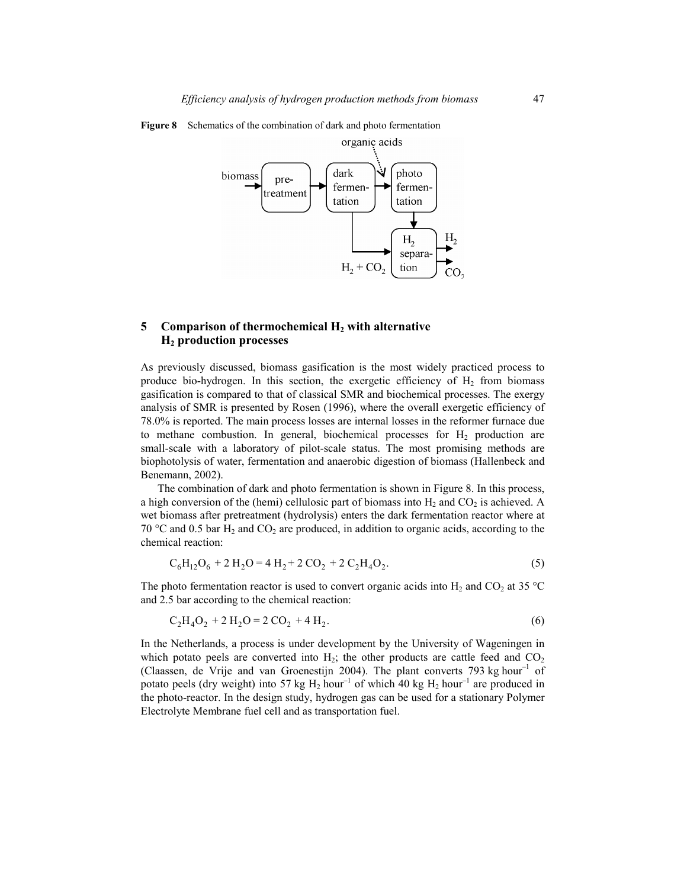

**Figure 8** Schematics of the combination of dark and photo fermentation

# **5** Comparison of thermochemical H<sub>2</sub> with alternative **H2 production processes**

As previously discussed, biomass gasification is the most widely practiced process to produce bio-hydrogen. In this section, the exergetic efficiency of  $H<sub>2</sub>$  from biomass gasification is compared to that of classical SMR and biochemical processes. The exergy analysis of SMR is presented by Rosen (1996), where the overall exergetic efficiency of 78.0% is reported. The main process losses are internal losses in the reformer furnace due to methane combustion. In general, biochemical processes for  $H<sub>2</sub>$  production are small-scale with a laboratory of pilot-scale status. The most promising methods are biophotolysis of water, fermentation and anaerobic digestion of biomass (Hallenbeck and Benemann, 2002).

The combination of dark and photo fermentation is shown in Figure 8. In this process, a high conversion of the (hemi) cellulosic part of biomass into  $H_2$  and  $CO_2$  is achieved. A wet biomass after pretreatment (hydrolysis) enters the dark fermentation reactor where at 70 °C and 0.5 bar  $H_2$  and  $CO_2$  are produced, in addition to organic acids, according to the chemical reaction:

$$
C_6H_{12}O_6 + 2H_2O = 4H_2 + 2CO_2 + 2C_2H_4O_2.
$$
 (5)

The photo fermentation reactor is used to convert organic acids into H<sub>2</sub> and CO<sub>2</sub> at 35 °C and 2.5 bar according to the chemical reaction:

$$
C_2H_4O_2 + 2H_2O = 2 CO_2 + 4H_2.
$$
 (6)

In the Netherlands, a process is under development by the University of Wageningen in which potato peels are converted into  $H_2$ ; the other products are cattle feed and  $CO_2$ (Claassen, de Vrije and van Groenestijn 2004). The plant converts 793 kg hour<sup>-1</sup> of potato peels (dry weight) into 57 kg  $H_2$  hour<sup>-1</sup> of which 40 kg  $H_2$  hour<sup>-1</sup> are produced in the photo-reactor. In the design study, hydrogen gas can be used for a stationary Polymer Electrolyte Membrane fuel cell and as transportation fuel.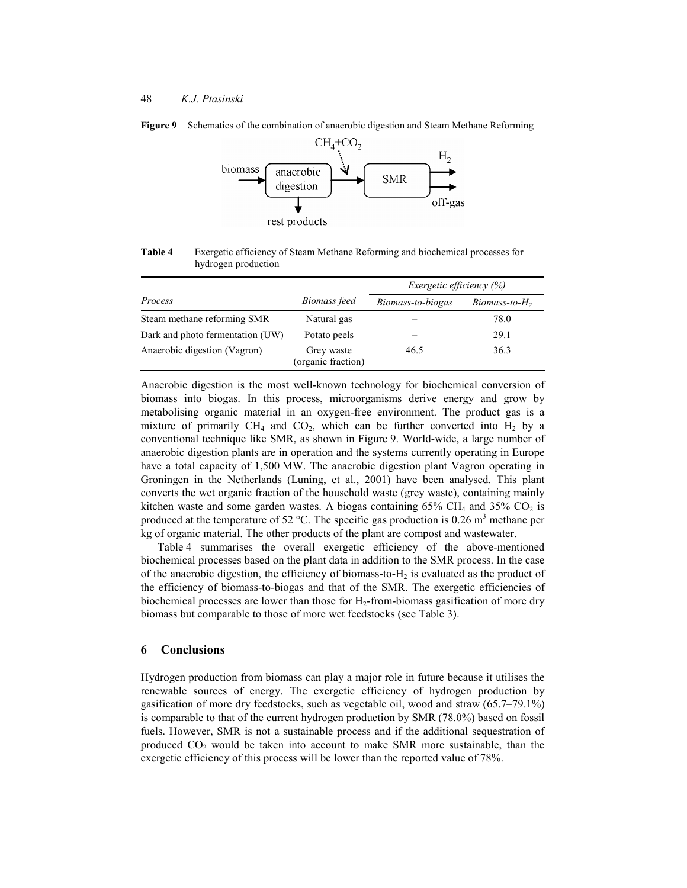

**Figure 9** Schematics of the combination of anaerobic digestion and Steam Methane Reforming

**Table 4** Exergetic efficiency of Steam Methane Reforming and biochemical processes for hydrogen production

|                                  |                                  | <i>Exergetic efficiency</i> $(\%)$ |                 |  |
|----------------------------------|----------------------------------|------------------------------------|-----------------|--|
| Process                          | Biomass feed                     | Biomass-to-biogas                  | $Biomass-to-H2$ |  |
| Steam methane reforming SMR      | Natural gas                      |                                    | 78.0            |  |
| Dark and photo fermentation (UW) | Potato peels                     |                                    | 29.1            |  |
| Anaerobic digestion (Vagron)     | Grey waste<br>(organic fraction) | 46.5                               | 36.3            |  |

Anaerobic digestion is the most well-known technology for biochemical conversion of biomass into biogas. In this process, microorganisms derive energy and grow by metabolising organic material in an oxygen-free environment. The product gas is a mixture of primarily  $CH_4$  and  $CO_2$ , which can be further converted into  $H_2$  by a conventional technique like SMR, as shown in Figure 9. World-wide, a large number of anaerobic digestion plants are in operation and the systems currently operating in Europe have a total capacity of 1,500 MW. The anaerobic digestion plant Vagron operating in Groningen in the Netherlands (Luning, et al., 2001) have been analysed. This plant converts the wet organic fraction of the household waste (grey waste), containing mainly kitchen waste and some garden wastes. A biogas containing  $65\%$  CH<sub>4</sub> and  $35\%$  CO<sub>2</sub> is produced at the temperature of 52 °C. The specific gas production is 0.26 m<sup>3</sup> methane per kg of organic material. The other products of the plant are compost and wastewater.

Table 4 summarises the overall exergetic efficiency of the above-mentioned biochemical processes based on the plant data in addition to the SMR process. In the case of the anaerobic digestion, the efficiency of biomass-to- $H_2$  is evaluated as the product of the efficiency of biomass-to-biogas and that of the SMR. The exergetic efficiencies of biochemical processes are lower than those for  $H_2$ -from-biomass gasification of more dry biomass but comparable to those of more wet feedstocks (see Table 3).

#### **6 Conclusions**

Hydrogen production from biomass can play a major role in future because it utilises the renewable sources of energy. The exergetic efficiency of hydrogen production by gasification of more dry feedstocks, such as vegetable oil, wood and straw (65.7–79.1%) is comparable to that of the current hydrogen production by SMR (78.0%) based on fossil fuels. However, SMR is not a sustainable process and if the additional sequestration of produced  $CO<sub>2</sub>$  would be taken into account to make SMR more sustainable, than the exergetic efficiency of this process will be lower than the reported value of 78%.